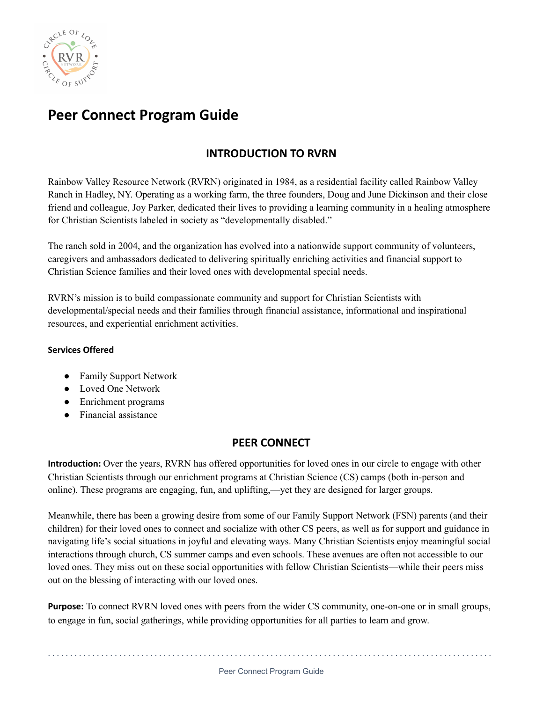

# **Peer Connect Program Guide**

# **INTRODUCTION TO RVRN**

Rainbow Valley Resource Network (RVRN) originated in 1984, as a residential facility called Rainbow Valley Ranch in Hadley, NY. Operating as a working farm, the three founders, Doug and June Dickinson and their close friend and colleague, Joy Parker, dedicated their lives to providing a learning community in a healing atmosphere for Christian Scientists labeled in society as "developmentally disabled."

The ranch sold in 2004, and the organization has evolved into a nationwide support community of volunteers, caregivers and ambassadors dedicated to delivering spiritually enriching activities and financial support to Christian Science families and their loved ones with developmental special needs.

RVRN's mission is to build compassionate community and support for Christian Scientists with developmental/special needs and their families through financial assistance, informational and inspirational resources, and experiential enrichment activities.

# **Services Offered**

- Family Support Network
- Loved One Network
- Enrichment programs
- Financial assistance

# **PEER CONNECT**

**Introduction:** Over the years, RVRN has offered opportunities for loved ones in our circle to engage with other Christian Scientists through our enrichment programs at Christian Science (CS) camps (both in-person and online). These programs are engaging, fun, and uplifting,—yet they are designed for larger groups.

Meanwhile, there has been a growing desire from some of our Family Support Network (FSN) parents (and their children) for their loved ones to connect and socialize with other CS peers, as well as for support and guidance in navigating life's social situations in joyful and elevating ways. Many Christian Scientists enjoy meaningful social interactions through church, CS summer camps and even schools. These avenues are often not accessible to our loved ones. They miss out on these social opportunities with fellow Christian Scientists—while their peers miss out on the blessing of interacting with our loved ones.

**Purpose:** To connect RVRN loved ones with peers from the wider CS community, one-on-one or in small groups, to engage in fun, social gatherings, while providing opportunities for all parties to learn and grow.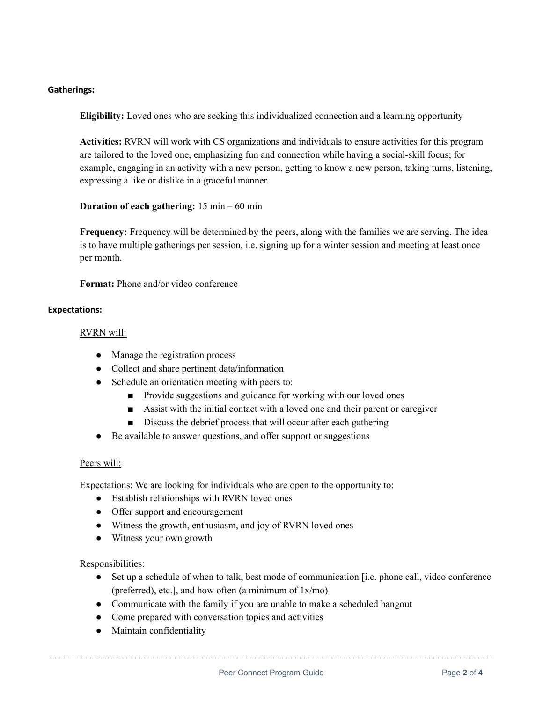## **Gatherings:**

**Eligibility:** Loved ones who are seeking this individualized connection and a learning opportunity

**Activities:** RVRN will work with CS organizations and individuals to ensure activities for this program are tailored to the loved one, emphasizing fun and connection while having a social-skill focus; for example, engaging in an activity with a new person, getting to know a new person, taking turns, listening, expressing a like or dislike in a graceful manner.

**Duration of each gathering:** 15 min – 60 min

**Frequency:** Frequency will be determined by the peers, along with the families we are serving. The idea is to have multiple gatherings per session, i.e. signing up for a winter session and meeting at least once per month.

**Format:** Phone and/or video conference

#### **Expectations:**

#### RVRN will:

- Manage the registration process
- Collect and share pertinent data/information
- Schedule an orientation meeting with peers to:
	- Provide suggestions and guidance for working with our loved ones
	- Assist with the initial contact with a loved one and their parent or caregiver
	- Discuss the debrief process that will occur after each gathering
- Be available to answer questions, and offer support or suggestions

## Peers will:

Expectations: We are looking for individuals who are open to the opportunity to:

- Establish relationships with RVRN loved ones
- Offer support and encouragement
- Witness the growth, enthusiasm, and joy of RVRN loved ones
- Witness your own growth

Responsibilities:

• Set up a schedule of when to talk, best mode of communication [i.e. phone call, video conference (preferred), etc.], and how often (a minimum of 1x/mo)

. . . . . . . . . . . . . . . . . . . . . . . . . . . . . . . . . . . . . . . . . . . . . . . . . . . . . . . . . . . . . . . . . . . . . . . . . . . . . . . . . . . . . . . . . . . . . . . . . . . .

- Communicate with the family if you are unable to make a scheduled hangout
- Come prepared with conversation topics and activities
- Maintain confidentiality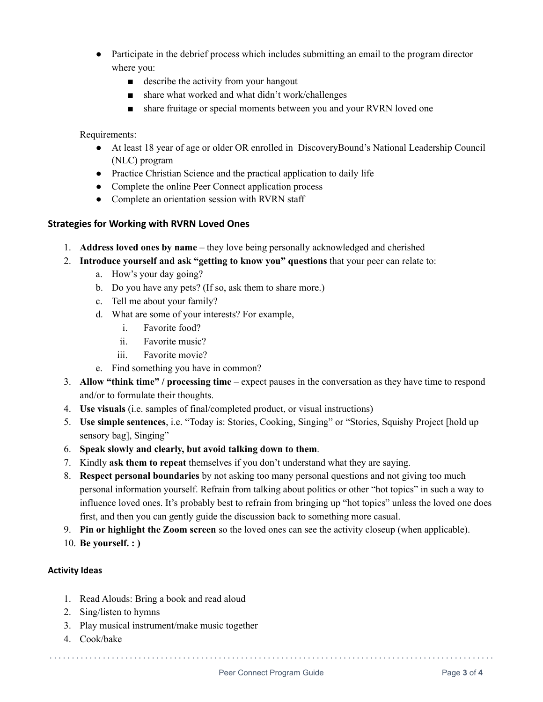- Participate in the debrief process which includes submitting an email to the program director where you:
	- describe the activity from your hangout
	- share what worked and what didn't work/challenges
	- share fruitage or special moments between you and your RVRN loved one

# Requirements:

- At least 18 year of age or older OR enrolled in DiscoveryBound's National Leadership Council (NLC) program
- Practice Christian Science and the practical application to daily life
- Complete the online Peer Connect application process
- Complete an orientation session with RVRN staff

# **Strategies for Working with RVRN Loved Ones**

- 1. **Address loved ones by name** they love being personally acknowledged and cherished
- 2. **Introduce yourself and ask "getting to know you" questions** that your peer can relate to:
	- a. How's your day going?
	- b. Do you have any pets? (If so, ask them to share more.)
	- c. Tell me about your family?
	- d. What are some of your interests? For example,
		- i. Favorite food?
		- ii. Favorite music?
		- iii. Favorite movie?
	- e. Find something you have in common?
- 3. **Allow "think time" / processing time** expect pauses in the conversation as they have time to respond and/or to formulate their thoughts.
- 4. **Use visuals** (i.e. samples of final/completed product, or visual instructions)
- 5. **Use simple sentences**, i.e. "Today is: Stories, Cooking, Singing" or "Stories, Squishy Project [hold up sensory bag], Singing"
- 6. **Speak slowly and clearly, but avoid talking down to them**.
- 7. Kindly **ask them to repeat** themselves if you don't understand what they are saying.
- 8. **Respect personal boundaries** by not asking too many personal questions and not giving too much personal information yourself. Refrain from talking about politics or other "hot topics" in such a way to influence loved ones. It's probably best to refrain from bringing up "hot topics" unless the loved one does first, and then you can gently guide the discussion back to something more casual.
- 9. **Pin or highlight the Zoom screen** so the loved ones can see the activity closeup (when applicable).
- 10. **Be yourself. : )**

## **Activity Ideas**

- 1. Read Alouds: Bring a book and read aloud
- 2. Sing/listen to hymns
- 3. Play musical instrument/make music together
- 4. Cook/bake

. . . . . . . . . . . . . . . . . . . . . . . . . . . . . . . . . . . . . . . . . . . . . . . . . . . . . . . . . . . . . . . . . . . . . . . . . . . . . . . . . . . . . . . . . . . . . . . . . . . .